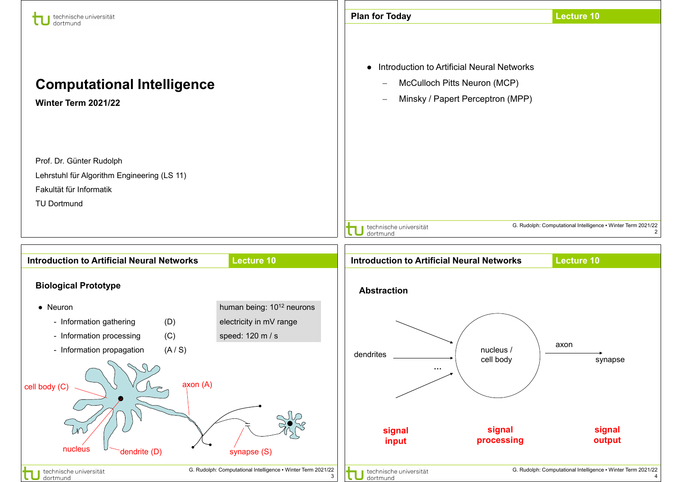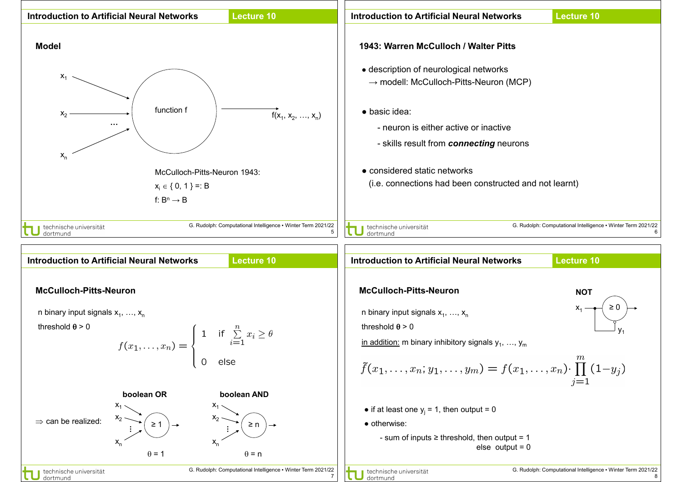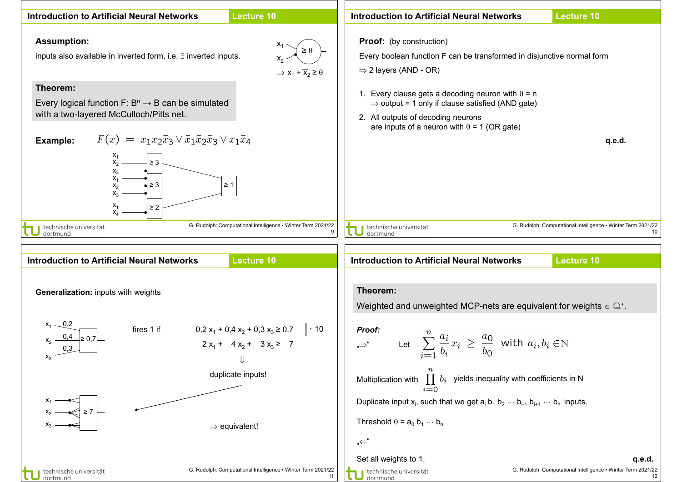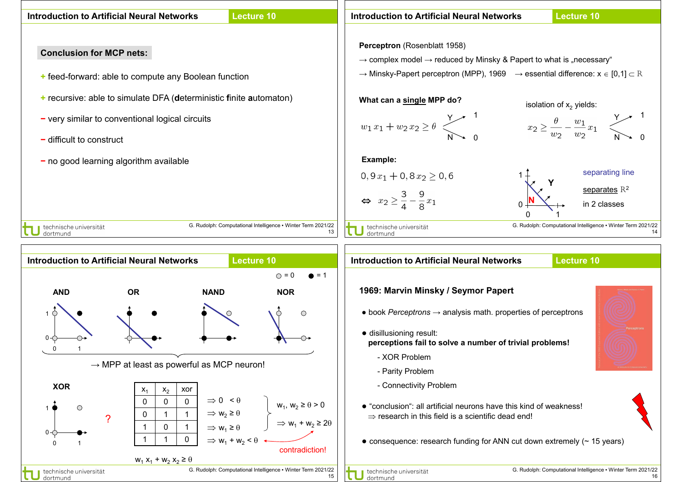

 $\bullet$  consequence: research funding for ANN cut down extremely ( $\sim$  15 years)

15

contradiction!

G. Rudolph: Computational Intelligence ▪ Winter Term 2021/22

 $\Rightarrow$  W<sub>1</sub> + W<sub>2</sub> <  $\theta$ 

0 1

∎ technische universität

dortmund

1 1 0

 $W_1 X_1 + W_2 X_2 \geq \theta$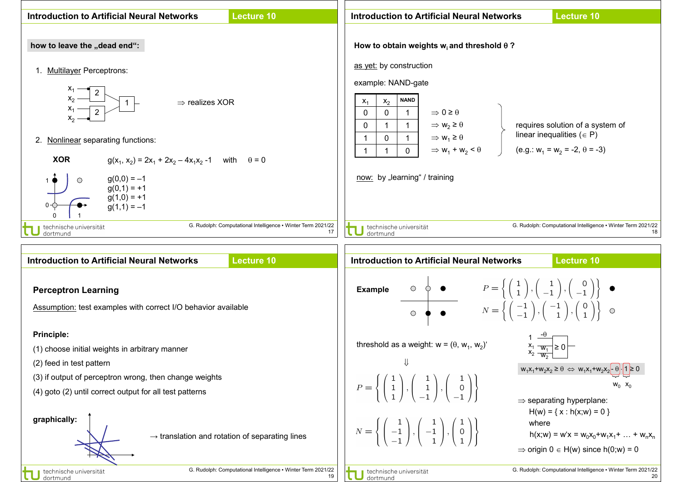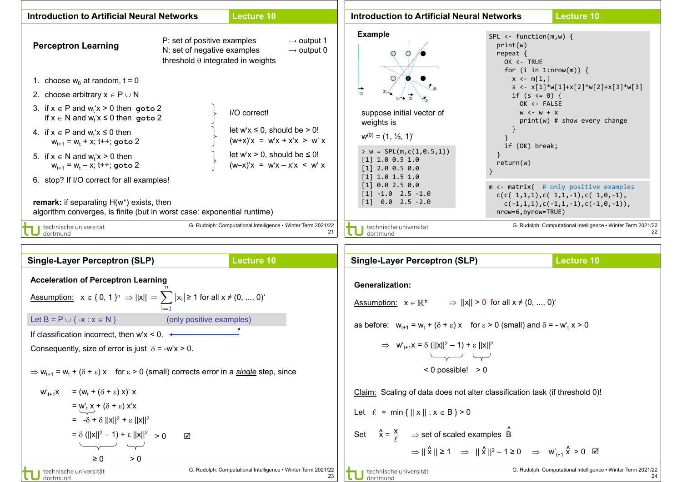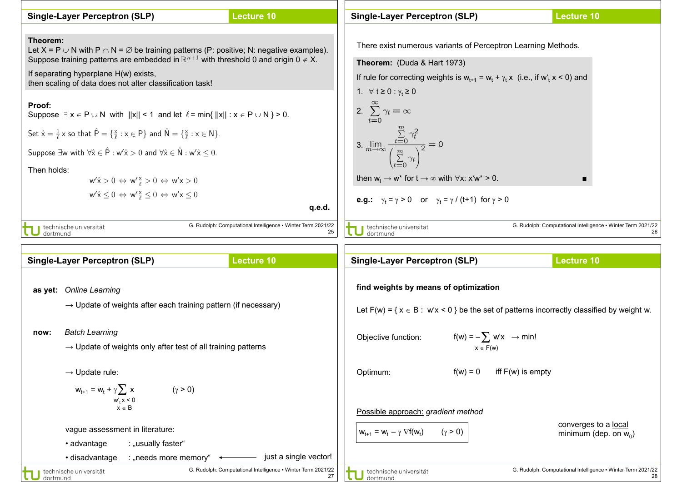| <b>Single-Layer Perceptron (SLP)</b>                                                                                                                                                                                                                                                                                                                                                                                                                                                                                                                                                                                                                                                                                                                                                                                            | <b>Lecture 10</b>                                                  | <b>Single-Layer Perceptron (SLP)</b>                                                                                                                                                                                                                                                                                                                                                                                                                                                                      | <b>Lecture 10</b>                                                                             |
|---------------------------------------------------------------------------------------------------------------------------------------------------------------------------------------------------------------------------------------------------------------------------------------------------------------------------------------------------------------------------------------------------------------------------------------------------------------------------------------------------------------------------------------------------------------------------------------------------------------------------------------------------------------------------------------------------------------------------------------------------------------------------------------------------------------------------------|--------------------------------------------------------------------|-----------------------------------------------------------------------------------------------------------------------------------------------------------------------------------------------------------------------------------------------------------------------------------------------------------------------------------------------------------------------------------------------------------------------------------------------------------------------------------------------------------|-----------------------------------------------------------------------------------------------|
| Theorem:<br>Let X = P $\cup$ N with P $\cap$ N = $\emptyset$ be training patterns (P: positive; N: negative examples).<br>Suppose training patterns are embedded in $\mathbb{R}^{n+1}$ with threshold 0 and origin 0 $\notin$ X.<br>If separating hyperplane H(w) exists,<br>then scaling of data does not alter classification task!<br>Proof:<br>Suppose $\exists x \in P \cup N$ with $  x   < 1$ and let $\ell$ = min{ $  x   : x \in P \cup N$ } > 0.<br>Set $\hat{x} = \frac{1}{\ell} x$ so that $\hat{P} = \{\frac{x}{\ell} : x \in P\}$ and $\hat{N} = \{\frac{x}{\ell} : x \in N\}.$<br>Suppose $\exists w$ with $\forall \hat{x} \in \hat{P} : w' \hat{x} > 0$ and $\forall \hat{x} \in \hat{N} : w' \hat{x} \leq 0$ .<br>Then holds:<br>$w' \hat{x} > 0 \Leftrightarrow w' \frac{x}{e} > 0 \Leftrightarrow w' x > 0$ |                                                                    | There exist numerous variants of Perceptron Learning Methods.<br>Theorem: (Duda & Hart 1973)<br>If rule for correcting weights is $w_{t+1} = w_t + \gamma_t x$ (i.e., if $w_t x < 0$ ) and<br>1. $\forall$ $t \ge 0$ : $\gamma_t \ge 0$<br>2. $\sum_{t=0}^{\infty} \gamma_t = \infty$<br>3. $\lim_{m\to\infty} \frac{\sum\limits_{t=0}^{m} \gamma_t^2}{\left(\sum\limits_{t=0}^{m} \gamma_t\right)^2} = 0$<br>then $w_t \rightarrow w^*$ for $t \rightarrow \infty$ with $\forall x: x^2 \cdot w^* > 0$ . |                                                                                               |
| $w' \hat{x} \leq 0 \Leftrightarrow w' \frac{x}{e} \leq 0 \Leftrightarrow w' x \leq 0$                                                                                                                                                                                                                                                                                                                                                                                                                                                                                                                                                                                                                                                                                                                                           |                                                                    | <b>e.g.:</b> $\gamma_t = \gamma > 0$ or $\gamma_t = \gamma / (t+1)$ for $\gamma > 0$                                                                                                                                                                                                                                                                                                                                                                                                                      |                                                                                               |
|                                                                                                                                                                                                                                                                                                                                                                                                                                                                                                                                                                                                                                                                                                                                                                                                                                 | q.e.d.                                                             |                                                                                                                                                                                                                                                                                                                                                                                                                                                                                                           |                                                                                               |
| technische universität<br>dortmund                                                                                                                                                                                                                                                                                                                                                                                                                                                                                                                                                                                                                                                                                                                                                                                              | G. Rudolph: Computational Intelligence • Winter Term 2021/22<br>25 | technische universität<br>dortmund                                                                                                                                                                                                                                                                                                                                                                                                                                                                        | G. Rudolph: Computational Intelligence • Winter Term 2021/22<br>26                            |
|                                                                                                                                                                                                                                                                                                                                                                                                                                                                                                                                                                                                                                                                                                                                                                                                                                 |                                                                    |                                                                                                                                                                                                                                                                                                                                                                                                                                                                                                           |                                                                                               |
| <b>Single-Layer Perceptron (SLP)</b>                                                                                                                                                                                                                                                                                                                                                                                                                                                                                                                                                                                                                                                                                                                                                                                            | <b>Lecture 10</b>                                                  | <b>Single-Layer Perceptron (SLP)</b>                                                                                                                                                                                                                                                                                                                                                                                                                                                                      | <b>Lecture 10</b>                                                                             |
| as yet: Online Learning<br>$\rightarrow$ Update of weights after each training pattern (if necessary)                                                                                                                                                                                                                                                                                                                                                                                                                                                                                                                                                                                                                                                                                                                           |                                                                    | find weights by means of optimization                                                                                                                                                                                                                                                                                                                                                                                                                                                                     | Let $F(w) = \{x \in B : w'x < 0\}$ be the set of patterns incorrectly classified by weight w. |
| <b>Batch Learning</b><br>now:<br>$\rightarrow$ Update of weights only after test of all training patterns                                                                                                                                                                                                                                                                                                                                                                                                                                                                                                                                                                                                                                                                                                                       |                                                                    | Objective function: $f(w) = -\sum w'x \rightarrow min!$                                                                                                                                                                                                                                                                                                                                                                                                                                                   |                                                                                               |
| $\rightarrow$ Update rule:<br>$W_{t+1} = W_t + \gamma \sum x$<br>$(\gamma > 0)$<br>$\begin{array}{c} w_t' x \leq 0 \\ x \in B \end{array}$                                                                                                                                                                                                                                                                                                                                                                                                                                                                                                                                                                                                                                                                                      |                                                                    | Optimum:<br>$f(w) = 0$                                                                                                                                                                                                                                                                                                                                                                                                                                                                                    | iff $F(w)$ is empty                                                                           |
| vague assessment in literature:                                                                                                                                                                                                                                                                                                                                                                                                                                                                                                                                                                                                                                                                                                                                                                                                 |                                                                    | Possible approach: gradient method<br>$(\gamma > 0)$<br>$W_{t+1} = W_t - \gamma \nabla f(W_t)$                                                                                                                                                                                                                                                                                                                                                                                                            | converges to a local<br>minimum (dep. on $w_0$ )                                              |

technische universität

• advantage : "usually faster" • disadvantage : "needs more memory" < integral just a single vector!

G. Rudolph: Computational Intelligence ▪ Winter Term 2021/22 28